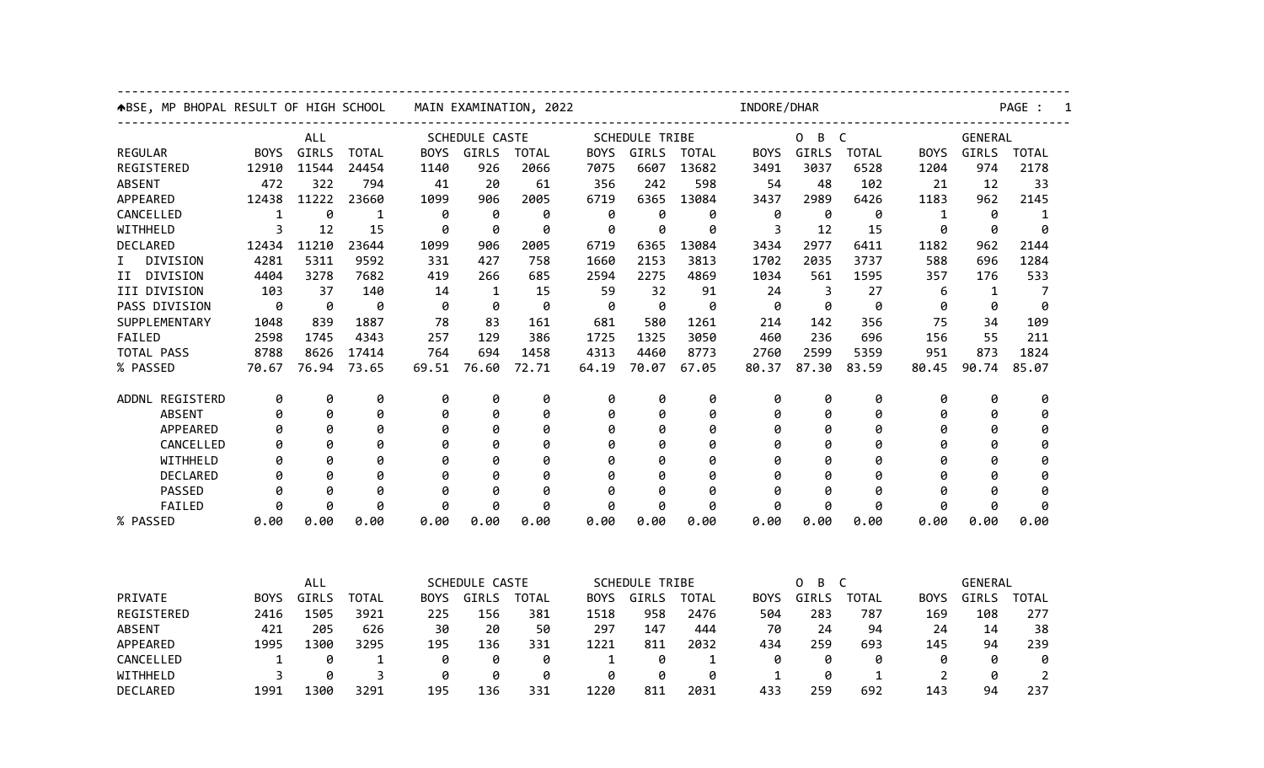| ABSE, MP BHOPAL RESULT OF HIGH SCHOOL |             |       |                                                        | MAIN EXAMINATION, 2022 |       |                                |             | INDORE/DHAR           |                                                 |             |                        |                  |             |                | PAGE :         |  |  |
|---------------------------------------|-------------|-------|--------------------------------------------------------|------------------------|-------|--------------------------------|-------------|-----------------------|-------------------------------------------------|-------------|------------------------|------------------|-------------|----------------|----------------|--|--|
| ALL                                   |             |       |                                                        | SCHEDULE CASTE         |       |                                |             | <b>SCHEDULE TRIBE</b> |                                                 |             | B<br>$\mathsf{C}$<br>0 |                  |             | <b>GENERAL</b> |                |  |  |
| <b>REGULAR</b>                        | <b>BOYS</b> | GIRLS | <b>TOTAL</b>                                           | <b>BOYS</b>            | GIRLS | <b>TOTAL</b>                   | <b>BOYS</b> | <b>GIRLS</b>          | <b>TOTAL</b>                                    | <b>BOYS</b> | GIRLS                  | <b>TOTAL</b>     | <b>BOYS</b> | GIRLS          | <b>TOTAL</b>   |  |  |
| REGISTERED                            | 12910       | 11544 | 24454                                                  | 1140                   | 926   | 2066                           | 7075        | 6607                  | 13682                                           | 3491        | 3037                   | 6528             | 1204        | 974            | 2178           |  |  |
| <b>ABSENT</b>                         | 472         | 322   | 794                                                    | 41                     | 20    | 61                             | 356         | 242                   | 598                                             | 54          | 48                     | 102              | 21          | 12             | 33             |  |  |
| APPEARED                              | 12438       | 11222 | 23660                                                  | 1099                   | 906   | 2005                           | 6719        | 6365                  | 13084                                           | 3437        | 2989                   | 6426             | 1183        | 962            | 2145           |  |  |
| CANCELLED                             | 1           | 0     | 1                                                      | 0                      | 0     | 0                              | 0           | 0                     | 0                                               | 0           | 0                      | 0                | 1           | 0              | 1              |  |  |
| WITHHELD                              | 3           | 12    | 15                                                     | 0                      | 0     | 0                              | 0           | 0                     | 0                                               | 3           | 12                     | 15               | ø           | 0              | ø              |  |  |
| DECLARED                              | 12434       | 11210 | 23644                                                  | 1099                   | 906   | 2005                           | 6719        | 6365                  | 13084                                           | 3434        | 2977                   | 6411             | 1182        | 962            | 2144           |  |  |
| DIVISION<br>I.                        | 4281        | 5311  | 9592                                                   | 331                    | 427   | 758                            | 1660        | 2153                  | 3813                                            | 1702        | 2035                   | 3737             | 588         | 696            | 1284           |  |  |
| II DIVISION                           | 4404        | 3278  | 7682                                                   | 419                    | 266   | 685                            | 2594        | 2275                  | 4869                                            | 1034        | 561                    | 1595             | 357         | 176            | 533            |  |  |
| III DIVISION                          | 103         | 37    | 140                                                    | 14                     | 1     | 15                             | 59          | 32                    | 91                                              | 24          | 3                      | 27               | 6           | 1              | 7              |  |  |
| PASS DIVISION                         | 0           | 0     | 0                                                      | 0                      | 0     | 0                              | 0           | 0                     | 0                                               | 0           | 0                      | 0                | 0           | 0              | 0              |  |  |
| SUPPLEMENTARY                         | 1048        | 839   | 1887                                                   | 78                     | 83    | 161                            | 681         | 580                   | 1261                                            | 214         | 142                    | 356              | 75          | 34             | 109            |  |  |
| FAILED                                | 2598        | 1745  | 4343                                                   | 257                    | 129   | 386                            | 1725        | 1325                  | 3050                                            | 460         | 236                    | 696              | 156         | 55             | 211            |  |  |
| TOTAL PASS                            | 8788        | 8626  | 17414                                                  | 764                    | 694   | 1458                           | 4313        | 4460                  | 8773                                            | 2760        | 2599                   | 5359             | 951         | 873            | 1824           |  |  |
| % PASSED                              | 70.67       | 76.94 | 73.65                                                  | 69.51                  | 76.60 | 72.71                          | 64.19       | 70.07                 | 67.05                                           | 80.37       | 87.30                  | 83.59            | 80.45       | 90.74          | 85.07          |  |  |
| ADDNL REGISTERD                       | 0           | 0     | 0                                                      | 0                      | 0     | 0                              | 0           | 0                     | 0                                               | 0           | 0                      | 0                | 0           | 0              | 0              |  |  |
| <b>ABSENT</b>                         | 0           | 0     | 0                                                      | 0                      | 0     | 0                              | 0           | 0                     | 0                                               | 0           | 0                      | 0                | 0           | 0              | 0              |  |  |
| APPEARED                              | 0           | 0     | 0                                                      | 0                      | 0     | 0                              | 0           | 0                     | 0                                               | 0           | 0                      | 0                | 0           | 0              | 0              |  |  |
| CANCELLED                             | ø           | ø     | 0                                                      | ø                      | 0     | 0                              | 0           | 0                     | 0                                               | a           | 0                      | 0                | ø           | ø              | 0              |  |  |
| WITHHELD                              | 0           | Ø     | 0                                                      | Ø                      | 0     | 0                              | 0           | Ø                     | 0                                               | Ø           | ø                      | 0                | 0           | Ø              | 0              |  |  |
| <b>DECLARED</b>                       | ø           | 0     | 0                                                      | Ø                      | 0     | 0                              | ø           | Ø                     | 0                                               | a           | 0                      | 0                | ø           | Ø              | 0              |  |  |
| PASSED                                | ø           | ø     | ø                                                      | ø                      | ø     | ø                              | ø           | ø                     | ø                                               | a           | ø                      | ø                | ø           | ø              | ø              |  |  |
| FAILED                                | 0           | 0     | 0                                                      | 0                      | 0     | 0                              | 0           | 0                     | 0                                               | 0           | 0                      | 0                | 0           | 0              | 0              |  |  |
| % PASSED                              | 0.00        | 0.00  | 0.00                                                   | 0.00                   | 0.00  | 0.00                           | 0.00        | 0.00                  | 0.00                                            | 0.00        | 0.00                   | 0.00             | 0.00        | 0.00           | 0.00           |  |  |
|                                       |             |       |                                                        |                        |       |                                |             |                       |                                                 |             |                        |                  |             |                |                |  |  |
|                                       | ALL         |       | SCHEDULE CASTE<br><b>BOYS</b><br>GIRLS<br><b>TOTAL</b> |                        |       | <b>SCHEDULE TRIBE</b><br>GIRLS |             |                       | 0<br>B<br>$\mathsf{C}$<br>GIRLS<br><b>TOTAL</b> |             |                        | GENERAL<br>GIRLS |             |                |                |  |  |
| PRIVATE                               | <b>BOYS</b> | GIRLS | <b>TOTAL</b>                                           |                        |       |                                | BOYS        |                       | <b>TOTAL</b>                                    | BOYS.       |                        |                  | <b>BOYS</b> |                | TOTAL          |  |  |
| REGISTERED                            | 2416        | 1505  | 3921                                                   | 225                    | 156   | 381                            | 1518        | 958                   | 2476                                            | 504         | 283                    | 787              | 169         | 108            | 277            |  |  |
| <b>ABSENT</b>                         | 421         | 205   | 626                                                    | 30                     | 20    | 50                             | 297         | 147                   | 444                                             | 70          | 24                     | 94               | 24          | 14             | 38             |  |  |
| APPEARED                              | 1995        | 1300  | 3295                                                   | 195                    | 136   | 331                            | 1221        | 811                   | 2032                                            | 434         | 259                    | 693              | 145         | 94             | 239            |  |  |
| CANCELLED                             | 1           | 0     | 1                                                      | 0                      | 0     | 0                              | 1           | 0                     | 1                                               | 0           | 0                      | 0                | 0           | 0              | 0              |  |  |
| WITHHELD                              | 3           | 0     | 3                                                      | 0                      | 0     | 0                              | 0           | 0                     | 0                                               | 1           | 0                      | $\mathbf 1$      | 2           | 0              | $\overline{2}$ |  |  |
| DECLARED                              | 1991        | 1300  | 3291                                                   | 195                    | 136   | 331                            | 1220        | 811                   | 2031                                            | 433         | 259                    | 692              | 143         | 94             | 237            |  |  |